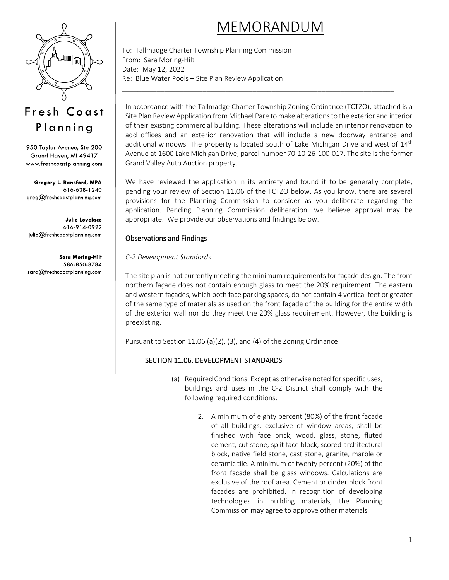

# Fresh Coast Planning

950 Taylor Avenue, Ste 200 Grand Haven, MI 49417 www.freshcoastplanning.com

Gregory L. Ransford, MPA 616-638-1240 greg@freshcoastplanning.com

**Julie Lovelace** 616-914-0922 julie@freshcoastplanning.com

**Sara Moring-Hilt** 586-850-8784 sara@freshcoastplanning.com

# MEMORANDUM

To: Tallmadge Charter Township Planning Commission From: Sara Moring-Hilt Date: May 12, 2022 Re: Blue Water Pools – Site Plan Review Application

In accordance with the Tallmadge Charter Township Zoning Ordinance (TCTZO), attached is a Site Plan Review Application from Michael Pare to make alterations to the exterior and interior of their existing commercial building. These alterations will include an interior renovation to add offices and an exterior renovation that will include a new doorway entrance and additional windows. The property is located south of Lake Michigan Drive and west of  $14<sup>th</sup>$ Avenue at 1600 Lake Michigan Drive, parcel number 70-10-26-100-017. The site is the former Grand Valley Auto Auction property.

\_\_\_\_\_\_\_\_\_\_\_\_\_\_\_\_\_\_\_\_\_\_\_\_\_\_\_\_\_\_\_\_\_\_\_\_\_\_\_\_\_\_\_\_\_\_\_\_\_\_\_\_\_\_\_\_\_\_\_\_\_\_\_\_\_\_\_\_\_\_\_

We have reviewed the application in its entirety and found it to be generally complete, pending your review of Section 11.06 of the TCTZO below. As you know, there are several provisions for the Planning Commission to consider as you deliberate regarding the application. Pending Planning Commission deliberation, we believe approval may be appropriate. We provide our observations and findings below.

## Observations and Findings

### *C-2 Development Standards*

The site plan is not currently meeting the minimum requirements for façade design. The front northern façade does not contain enough glass to meet the 20% requirement. The eastern and western façades, which both face parking spaces, do not contain 4 vertical feet or greater of the same type of materials as used on the front façade of the building for the entire width of the exterior wall nor do they meet the 20% glass requirement. However, the building is preexisting.

Pursuant to Section 11.06 (a)(2), (3), and (4) of the Zoning Ordinance:

# SECTION 11.06. DEVELOPMENT STANDARDS

- (a) Required Conditions. Except as otherwise noted for specific uses, buildings and uses in the C-2 District shall comply with the following required conditions:
	- 2. A minimum of eighty percent (80%) of the front facade of all buildings, exclusive of window areas, shall be finished with face brick, wood, glass, stone, fluted cement, cut stone, split face block, scored architectural block, native field stone, cast stone, granite, marble or ceramic tile. A minimum of twenty percent (20%) of the front facade shall be glass windows. Calculations are exclusive of the roof area. Cement or cinder block front facades are prohibited. In recognition of developing technologies in building materials, the Planning Commission may agree to approve other materials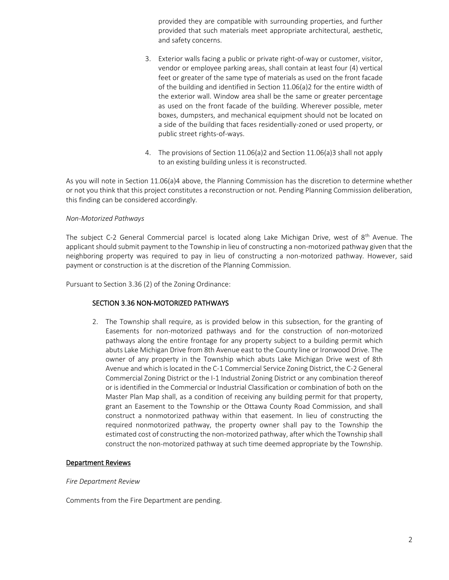provided they are compatible with surrounding properties, and further provided that such materials meet appropriate architectural, aesthetic, and safety concerns.

- 3. Exterior walls facing a public or private right-of-way or customer, visitor, vendor or employee parking areas, shall contain at least four (4) vertical feet or greater of the same type of materials as used on the front facade of the building and identified in Section 11.06(a)2 for the entire width of the exterior wall. Window area shall be the same or greater percentage as used on the front facade of the building. Wherever possible, meter boxes, dumpsters, and mechanical equipment should not be located on a side of the building that faces residentially-zoned or used property, or public street rights-of-ways.
- 4. The provisions of Section 11.06(a)2 and Section 11.06(a)3 shall not apply to an existing building unless it is reconstructed.

As you will note in Section 11.06(a)4 above, the Planning Commission has the discretion to determine whether or not you think that this project constitutes a reconstruction or not. Pending Planning Commission deliberation, this finding can be considered accordingly.

#### *Non-Motorized Pathways*

The subject C-2 General Commercial parcel is located along Lake Michigan Drive, west of 8<sup>th</sup> Avenue. The applicant should submit payment to the Township in lieu of constructing a non-motorized pathway given that the neighboring property was required to pay in lieu of constructing a non-motorized pathway. However, said payment or construction is at the discretion of the Planning Commission.

Pursuant to Section 3.36 (2) of the Zoning Ordinance:

#### SECTION 3.36 NON-MOTORIZED PATHWAYS

2. The Township shall require, as is provided below in this subsection, for the granting of Easements for non-motorized pathways and for the construction of non-motorized pathways along the entire frontage for any property subject to a building permit which abuts Lake Michigan Drive from 8th Avenue east to the County line or Ironwood Drive. The owner of any property in the Township which abuts Lake Michigan Drive west of 8th Avenue and which is located in the C-1 Commercial Service Zoning District, the C-2 General Commercial Zoning District or the I-1 Industrial Zoning District or any combination thereof or is identified in the Commercial or Industrial Classification or combination of both on the Master Plan Map shall, as a condition of receiving any building permit for that property, grant an Easement to the Township or the Ottawa County Road Commission, and shall construct a nonmotorized pathway within that easement. In lieu of constructing the required nonmotorized pathway, the property owner shall pay to the Township the estimated cost of constructing the non-motorized pathway, after which the Township shall construct the non-motorized pathway at such time deemed appropriate by the Township.

#### Department Reviews

#### *Fire Department Review*

Comments from the Fire Department are pending.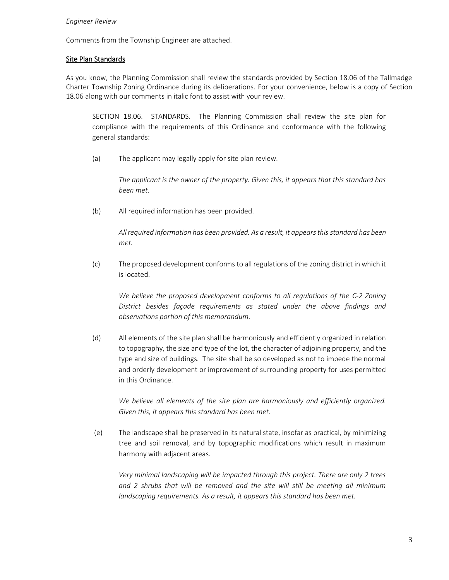#### *Engineer Review*

Comments from the Township Engineer are attached.

#### Site Plan Standards

As you know, the Planning Commission shall review the standards provided by Section 18.06 of the Tallmadge Charter Township Zoning Ordinance during its deliberations. For your convenience, below is a copy of Section 18.06 along with our comments in italic font to assist with your review.

SECTION 18.06. STANDARDS. The Planning Commission shall review the site plan for compliance with the requirements of this Ordinance and conformance with the following general standards:

(a) The applicant may legally apply for site plan review.

*The applicant is the owner of the property. Given this, it appears that this standard has been met.*

(b) All required information has been provided.

*All required information has been provided. As a result, it appears this standard has been met.*

(c) The proposed development conforms to all regulations of the zoning district in which it is located.

*We believe the proposed development conforms to all regulations of the C-2 Zoning District besides façade requirements as stated under the above findings and observations portion of this memorandum.*

(d) All elements of the site plan shall be harmoniously and efficiently organized in relation to topography, the size and type of the lot, the character of adjoining property, and the type and size of buildings. The site shall be so developed as not to impede the normal and orderly development or improvement of surrounding property for uses permitted in this Ordinance.

*We believe all elements of the site plan are harmoniously and efficiently organized. Given this, it appears this standard has been met.*

(e) The landscape shall be preserved in its natural state, insofar as practical, by minimizing tree and soil removal, and by topographic modifications which result in maximum harmony with adjacent areas.

*Very minimal landscaping will be impacted through this project. There are only 2 trees and 2 shrubs that will be removed and the site will still be meeting all minimum landscaping requirements. As a result, it appears this standard has been met.*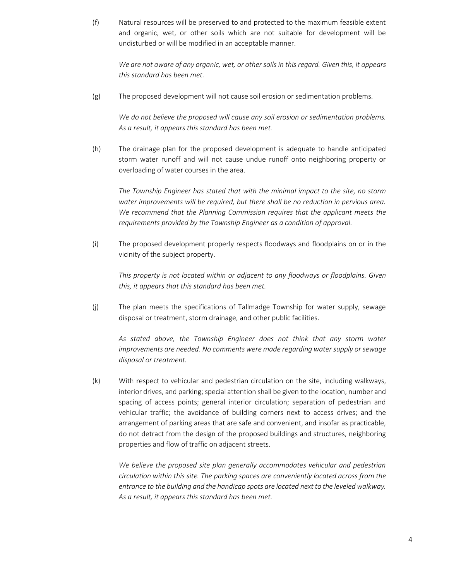(f) Natural resources will be preserved to and protected to the maximum feasible extent and organic, wet, or other soils which are not suitable for development will be undisturbed or will be modified in an acceptable manner.

*We are not aware of any organic, wet, or other soils in this regard. Given this, it appears this standard has been met.*

(g) The proposed development will not cause soil erosion or sedimentation problems.

*We do not believe the proposed will cause any soil erosion or sedimentation problems. As a result, it appears this standard has been met.*

(h) The drainage plan for the proposed development is adequate to handle anticipated storm water runoff and will not cause undue runoff onto neighboring property or overloading of water courses in the area.

*The Township Engineer has stated that with the minimal impact to the site, no storm water improvements will be required, but there shall be no reduction in pervious area. We recommend that the Planning Commission requires that the applicant meets the requirements provided by the Township Engineer as a condition of approval.*

(i) The proposed development properly respects floodways and floodplains on or in the vicinity of the subject property.

*This property is not located within or adjacent to any floodways or floodplains. Given this, it appears that this standard has been met.*

(j) The plan meets the specifications of Tallmadge Township for water supply, sewage disposal or treatment, storm drainage, and other public facilities.

*As stated above, the Township Engineer does not think that any storm water improvements are needed. No comments were made regarding water supply or sewage disposal or treatment.*

(k) With respect to vehicular and pedestrian circulation on the site, including walkways, interior drives, and parking; special attention shall be given to the location, number and spacing of access points; general interior circulation; separation of pedestrian and vehicular traffic; the avoidance of building corners next to access drives; and the arrangement of parking areas that are safe and convenient, and insofar as practicable, do not detract from the design of the proposed buildings and structures, neighboring properties and flow of traffic on adjacent streets.

*We believe the proposed site plan generally accommodates vehicular and pedestrian circulation within this site. The parking spaces are conveniently located across from the entrance to the building and the handicap spots are located next to the leveled walkway. As a result, it appears this standard has been met.*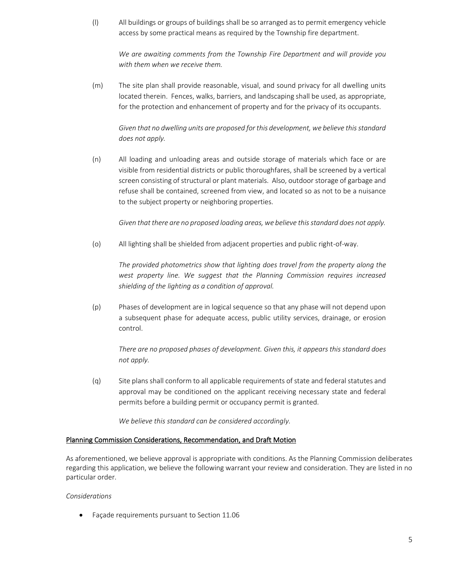(l) All buildings or groups of buildings shall be so arranged as to permit emergency vehicle access by some practical means as required by the Township fire department.

*We are awaiting comments from the Township Fire Department and will provide you with them when we receive them.*

(m) The site plan shall provide reasonable, visual, and sound privacy for all dwelling units located therein. Fences, walks, barriers, and landscaping shall be used, as appropriate, for the protection and enhancement of property and for the privacy of its occupants.

# *Given that no dwelling units are proposed for this development, we believe this standard does not apply.*

(n) All loading and unloading areas and outside storage of materials which face or are visible from residential districts or public thoroughfares, shall be screened by a vertical screen consisting of structural or plant materials. Also, outdoor storage of garbage and refuse shall be contained, screened from view, and located so as not to be a nuisance to the subject property or neighboring properties.

*Given that there are no proposed loading areas, we believe this standard does not apply.*

(o) All lighting shall be shielded from adjacent properties and public right-of-way.

*The provided photometrics show that lighting does travel from the property along the west property line. We suggest that the Planning Commission requires increased shielding of the lighting as a condition of approval.* 

(p) Phases of development are in logical sequence so that any phase will not depend upon a subsequent phase for adequate access, public utility services, drainage, or erosion control.

*There are no proposed phases of development. Given this, it appears this standard does not apply.*

(q) Site plans shall conform to all applicable requirements of state and federal statutes and approval may be conditioned on the applicant receiving necessary state and federal permits before a building permit or occupancy permit is granted.

*We believe this standard can be considered accordingly.*

#### Planning Commission Considerations, Recommendation, and Draft Motion

As aforementioned, we believe approval is appropriate with conditions. As the Planning Commission deliberates regarding this application, we believe the following warrant your review and consideration. They are listed in no particular order.

#### *Considerations*

• Façade requirements pursuant to Section 11.06